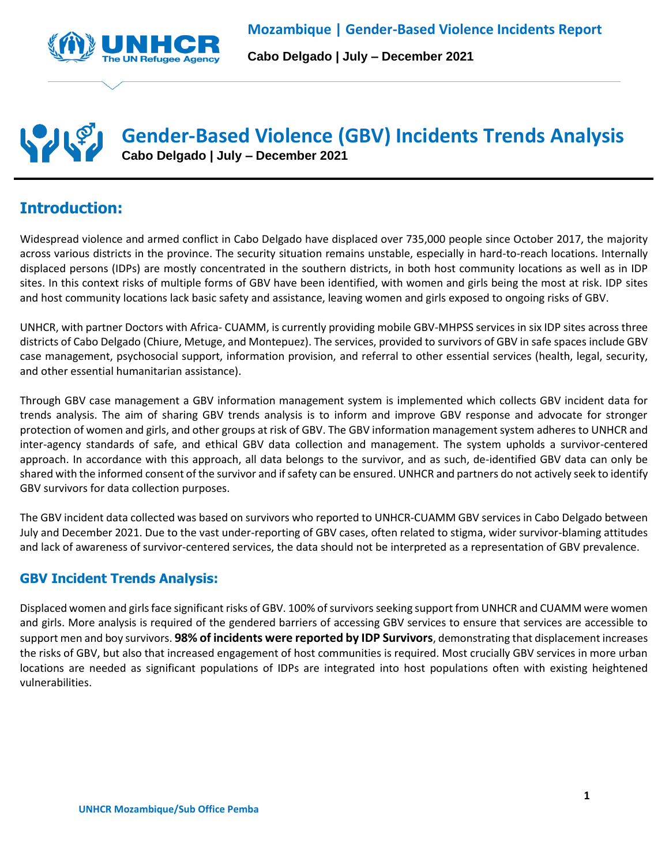

**Cabo Delgado | July – December 2021**

# **Gender-Based Violence (GBV) Incidents Trends Analysis Cabo Delgado | July – December 2021**

# **Introduction:**

Widespread violence and armed conflict in Cabo Delgado have displaced over 735,000 people since October 2017, the majority across various districts in the province. The security situation remains unstable, especially in hard-to-reach locations. Internally displaced persons (IDPs) are mostly concentrated in the southern districts, in both host community locations as well as in IDP sites. In this context risks of multiple forms of GBV have been identified, with women and girls being the most at risk. IDP sites and host community locations lack basic safety and assistance, leaving women and girls exposed to ongoing risks of GBV.

UNHCR, with partner Doctors with Africa- CUAMM, is currently providing mobile GBV-MHPSS services in six IDP sites across three districts of Cabo Delgado (Chiure, Metuge, and Montepuez). The services, provided to survivors of GBV in safe spaces include GBV case management, psychosocial support, information provision, and referral to other essential services (health, legal, security, and other essential humanitarian assistance).

Through GBV case management a GBV information management system is implemented which collects GBV incident data for trends analysis. The aim of sharing GBV trends analysis is to inform and improve GBV response and advocate for stronger protection of women and girls, and other groups at risk of GBV. The GBV information management system adheres to UNHCR and inter-agency standards of safe, and ethical GBV data collection and management. The system upholds a survivor-centered approach. In accordance with this approach, all data belongs to the survivor, and as such, de-identified GBV data can only be shared with the informed consent of the survivor and if safety can be ensured. UNHCR and partners do not actively seek to identify GBV survivors for data collection purposes.

The GBV incident data collected was based on survivors who reported to UNHCR-CUAMM GBV services in Cabo Delgado between July and December 2021. Due to the vast under-reporting of GBV cases, often related to stigma, wider survivor-blaming attitudes and lack of awareness of survivor-centered services, the data should not be interpreted as a representation of GBV prevalence.

### **GBV Incident Trends Analysis:**

Displaced women and girlsface significant risks of GBV. 100% of survivors seeking support from UNHCR and CUAMM were women and girls. More analysis is required of the gendered barriers of accessing GBV services to ensure that services are accessible to support men and boy survivors. **98% of incidents were reported by IDP Survivors**, demonstrating that displacement increases the risks of GBV, but also that increased engagement of host communities is required. Most crucially GBV services in more urban locations are needed as significant populations of IDPs are integrated into host populations often with existing heightened vulnerabilities.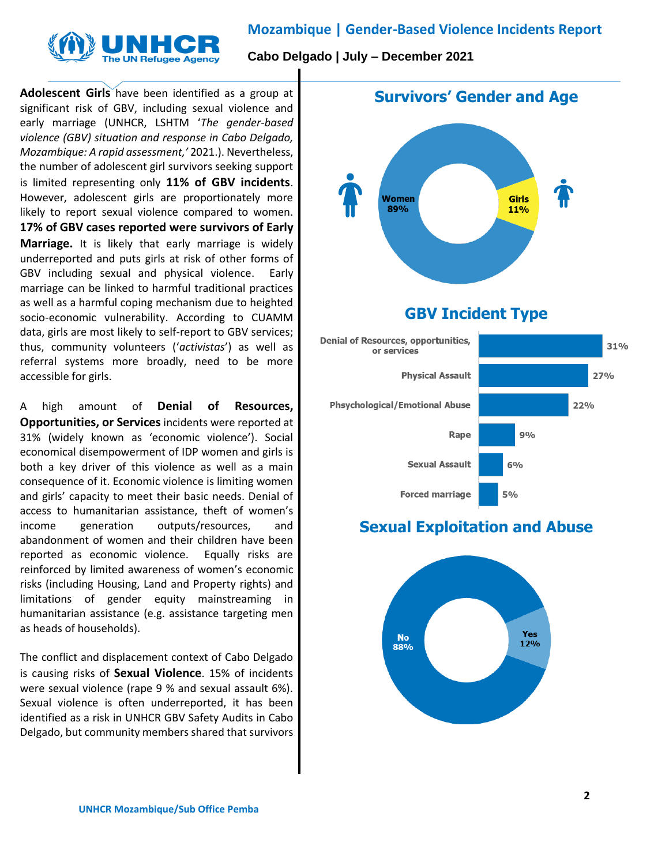### **Mozambique | Gender-Based Violence Incidents Report**



**Cabo Delgado | July – December 2021**

**Adolescent Girls** have been identified as a group at significant risk of GBV, including sexual violence and early marriage (UNHCR, LSHTM '*The gender-based violence (GBV) situation and response in Cabo Delgado, Mozambique: A rapid assessment,'* 2021.). Nevertheless, the number of adolescent girl survivors seeking support is limited representing only **11% of GBV incidents**. However, adolescent girls are proportionately more likely to report sexual violence compared to women. **17% of GBV cases reported were survivors of Early Marriage.** It is likely that early marriage is widely underreported and puts girls at risk of other forms of GBV including sexual and physical violence. Early marriage can be linked to harmful traditional practices as well as a harmful coping mechanism due to heighted socio-economic vulnerability. According to CUAMM data, girls are most likely to self-report to GBV services; thus, community volunteers ('*activistas*') as well as referral systems more broadly, need to be more accessible for girls.

A high amount of **Denial of Resources, Opportunities, or Services** incidents were reported at 31% (widely known as 'economic violence'). Social economical disempowerment of IDP women and girls is both a key driver of this violence as well as a main consequence of it. Economic violence is limiting women and girls' capacity to meet their basic needs. Denial of access to humanitarian assistance, theft of women's income generation outputs/resources, and abandonment of women and their children have been reported as economic violence. Equally risks are reinforced by limited awareness of women's economic risks (including Housing, Land and Property rights) and limitations of gender equity mainstreaming in humanitarian assistance (e.g. assistance targeting men as heads of households).

The conflict and displacement context of Cabo Delgado is causing risks of **Sexual Violence**. 15% of incidents were sexual violence (rape 9 % and sexual assault 6%). Sexual violence is often underreported, it has been identified as a risk in UNHCR GBV Safety Audits in Cabo Delgado, but community members shared that survivors



# **GBV Incident Type**



# **Sexual Exploitation and Abuse**

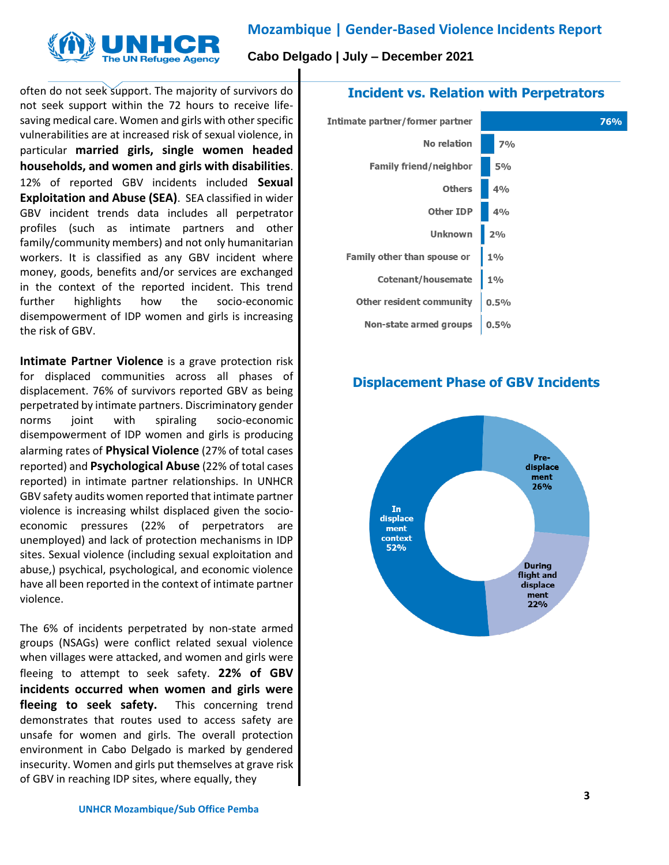# **Mozambique | Gender-Based Violence Incidents Report**



**Cabo Delgado | July – December 2021**

often do not seek support. The majority of survivors do not seek support within the 72 hours to receive lifesaving medical care. Women and girls with other specific vulnerabilities are at increased risk of sexual violence, in particular **married girls, single women headed households, and women and girls with disabilities**. 12% of reported GBV incidents included **Sexual Exploitation and Abuse (SEA)**. SEA classified in wider GBV incident trends data includes all perpetrator profiles (such as intimate partners and other family/community members) and not only humanitarian workers. It is classified as any GBV incident where

money, goods, benefits and/or services are exchanged in the context of the reported incident. This trend further highlights how the socio-economic disempowerment of IDP women and girls is increasing the risk of GBV.

**Intimate Partner Violence** is a grave protection risk for displaced communities across all phases of displacement. 76% of survivors reported GBV as being perpetrated by intimate partners. Discriminatory gender norms joint with spiraling socio-economic disempowerment of IDP women and girls is producing alarming rates of **Physical Violence** (27% of total cases reported) and **Psychological Abuse** (22% of total cases reported) in intimate partner relationships. In UNHCR GBV safety audits women reported that intimate partner violence is increasing whilst displaced given the socioeconomic pressures (22% of perpetrators are unemployed) and lack of protection mechanisms in IDP sites. Sexual violence (including sexual exploitation and abuse,) psychical, psychological, and economic violence have all been reported in the context of intimate partner violence.

The 6% of incidents perpetrated by non-state armed groups (NSAGs) were conflict related sexual violence when villages were attacked, and women and girls were fleeing to attempt to seek safety. **22% of GBV incidents occurred when women and girls were fleeing to seek safety.** This concerning trend demonstrates that routes used to access safety are unsafe for women and girls. The overall protection environment in Cabo Delgado is marked by gendered insecurity. Women and girls put themselves at grave risk of GBV in reaching IDP sites, where equally, they

#### **Incident vs. Relation with Perpetrators**



#### **Displacement Phase of GBV Incidents**

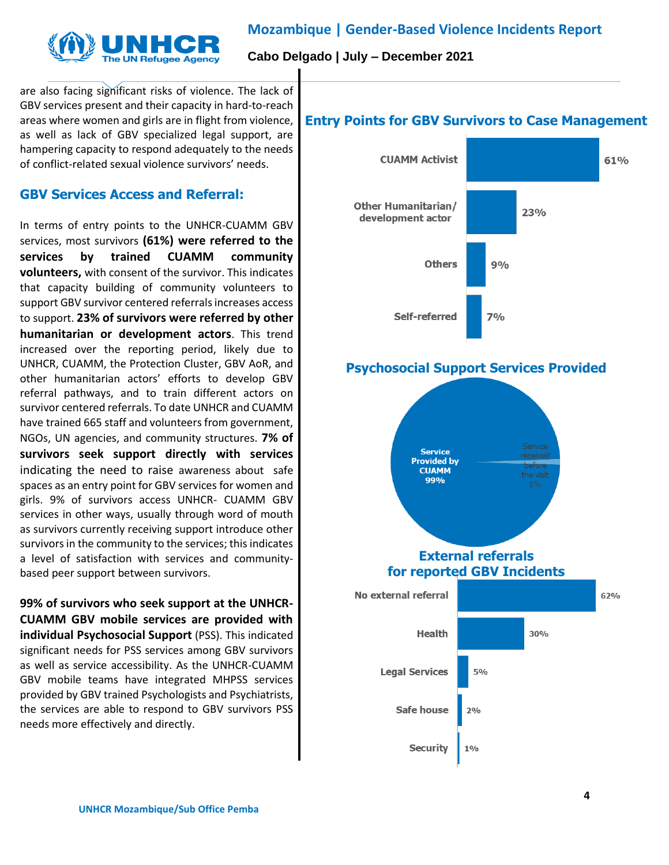



**Cabo Delgado | July – December 2021**

are also facing significant risks of violence. The lack of GBV services present and their capacity in hard-to-reach areas where women and girls are in flight from violence, as well as lack of GBV specialized legal support, are hampering capacity to respond adequately to the needs of conflict-related sexual violence survivors' needs.

### **GBV Services Access and Referral:**

In terms of entry points to the UNHCR-CUAMM GBV services, most survivors **(61%) were referred to the services by trained CUAMM community volunteers,** with consent of the survivor. This indicates that capacity building of community volunteers to support GBV survivor centered referrals increases access to support. **23% of survivors were referred by other humanitarian or development actors**. This trend increased over the reporting period, likely due to UNHCR, CUAMM, the Protection Cluster, GBV AoR, and other humanitarian actors' efforts to develop GBV referral pathways, and to train different actors on survivor centered referrals. To date UNHCR and CUAMM have trained 665 staff and volunteers from government, NGOs, UN agencies, and community structures. **7% of survivors seek support directly with services** indicating the need to raise awareness about safe spaces as an entry point for GBV services for women and girls. 9% of survivors access UNHCR- CUAMM GBV services in other ways, usually through word of mouth as survivors currently receiving support introduce other survivors in the community to the services; this indicates a level of satisfaction with services and communitybased peer support between survivors.

**99% of survivors who seek support at the UNHCR-CUAMM GBV mobile services are provided with individual Psychosocial Support** (PSS). This indicated significant needs for PSS services among GBV survivors as well as service accessibility. As the UNHCR-CUAMM GBV mobile teams have integrated MHPSS services provided by GBV trained Psychologists and Psychiatrists, the services are able to respond to GBV survivors PSS needs more effectively and directly.

#### **Entry Points for GBV Survivors to Case Management**



# **Psychosocial Support Services Provided**

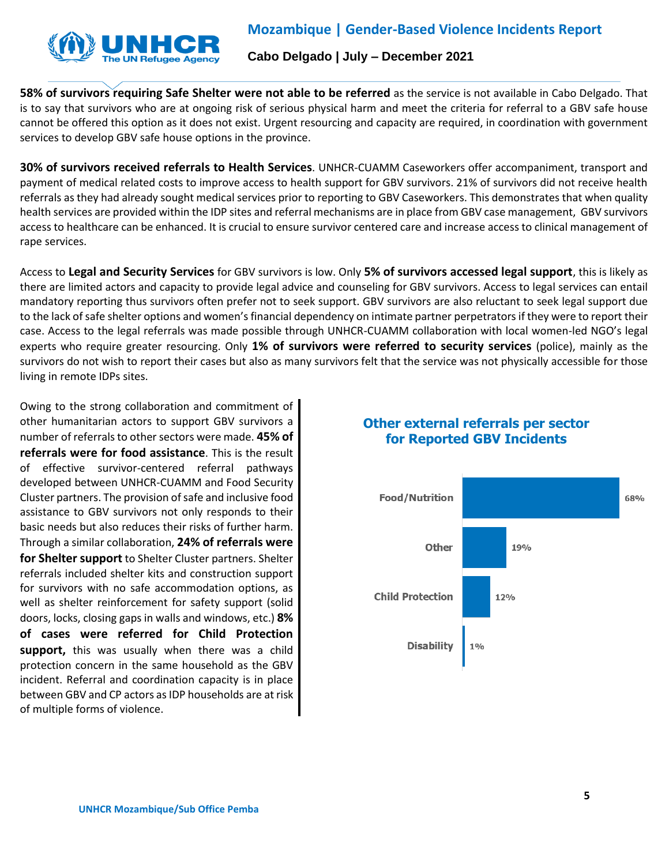

### **Mozambique | Gender-Based Violence Incidents Report**

#### **Cabo Delgado | July – December 2021**

**58% of survivors requiring Safe Shelter were not able to be referred** as the service is not available in Cabo Delgado. That is to say that survivors who are at ongoing risk of serious physical harm and meet the criteria for referral to a GBV safe house cannot be offered this option as it does not exist. Urgent resourcing and capacity are required, in coordination with government services to develop GBV safe house options in the province.

**30% of survivors received referrals to Health Services**. UNHCR-CUAMM Caseworkers offer accompaniment, transport and payment of medical related costs to improve access to health support for GBV survivors. 21% of survivors did not receive health referrals as they had already sought medical services prior to reporting to GBV Caseworkers. This demonstrates that when quality health services are provided within the IDP sites and referral mechanisms are in place from GBV case management, GBV survivors access to healthcare can be enhanced. It is crucial to ensure survivor centered care and increase access to clinical management of rape services.

Access to **Legal and Security Services** for GBV survivors is low. Only **5% of survivors accessed legal support**, this is likely as there are limited actors and capacity to provide legal advice and counseling for GBV survivors. Access to legal services can entail mandatory reporting thus survivors often prefer not to seek support. GBV survivors are also reluctant to seek legal support due to the lack of safe shelter options and women's financial dependency on intimate partner perpetrators if they were to report their case. Access to the legal referrals was made possible through UNHCR-CUAMM collaboration with local women-led NGO's legal experts who require greater resourcing. Only **1% of survivors were referred to security services** (police), mainly as the survivors do not wish to report their cases but also as many survivors felt that the service was not physically accessible for those living in remote IDPs sites.

Owing to the strong collaboration and commitment of other humanitarian actors to support GBV survivors a number of referrals to other sectors were made. **45% of referrals were for food assistance**. This is the result of effective survivor-centered referral pathways developed between UNHCR-CUAMM and Food Security Cluster partners. The provision of safe and inclusive food assistance to GBV survivors not only responds to their basic needs but also reduces their risks of further harm. Through a similar collaboration, **24% of referrals were for Shelter support** to Shelter Cluster partners. Shelter referrals included shelter kits and construction support for survivors with no safe accommodation options, as well as shelter reinforcement for safety support (solid doors, locks, closing gaps in walls and windows, etc.) **8% of cases were referred for Child Protection support,** this was usually when there was a child protection concern in the same household as the GBV incident. Referral and coordination capacity is in place between GBV and CP actors as IDP households are at risk of multiple forms of violence.

#### **Other external referrals per sector for Reported GBV Incidents**